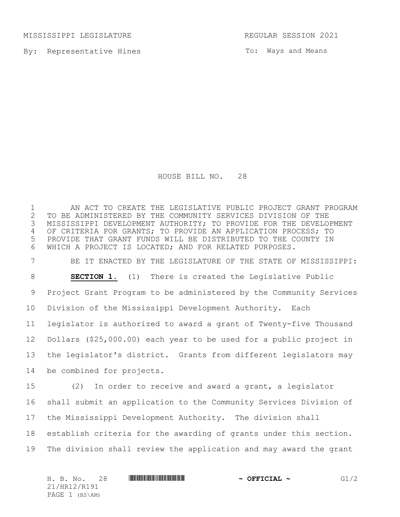MISSISSIPPI LEGISLATURE **REGULAR SESSION 2021** 

By: Representative Hines

To: Ways and Means

HOUSE BILL NO. 28

1 AN ACT TO CREATE THE LEGISLATIVE PUBLIC PROJECT GRANT PROGRAM<br>2 TO BE ADMINISTERED BY THE COMMUNITY SERVICES DIVISION OF THE 2 TO BE ADMINISTERED BY THE COMMUNITY SERVICES DIVISION OF THE<br>3 MISSISSIPPI DEVELOPMENT AUTHORITY; TO PROVIDE FOR THE DEVELO MISSISSIPPI DEVELOPMENT AUTHORITY; TO PROVIDE FOR THE DEVELOPMENT OF CRITERIA FOR GRANTS; TO PROVIDE AN APPLICATION PROCESS; TO PROVIDE THAT GRANT FUNDS WILL BE DISTRIBUTED TO THE COUNTY IN WHICH A PROJECT IS LOCATED; AND FOR RELATED PURPOSES. BE IT ENACTED BY THE LEGISLATURE OF THE STATE OF MISSISSIPPI: **SECTION 1.** (1) There is created the Legislative Public Project Grant Program to be administered by the Community Services Division of the Mississippi Development Authority. Each legislator is authorized to award a grant of Twenty-five Thousand Dollars (\$25,000.00) each year to be used for a public project in the legislator's district. Grants from different legislators may be combined for projects.

 (2) In order to receive and award a grant, a legislator shall submit an application to the Community Services Division of the Mississippi Development Authority. The division shall establish criteria for the awarding of grants under this section. The division shall review the application and may award the grant

H. B. No. 28 \*HR12/R191\* **~ OFFICIAL ~** G1/2 21/HR12/R191 PAGE 1 (BS\AM)